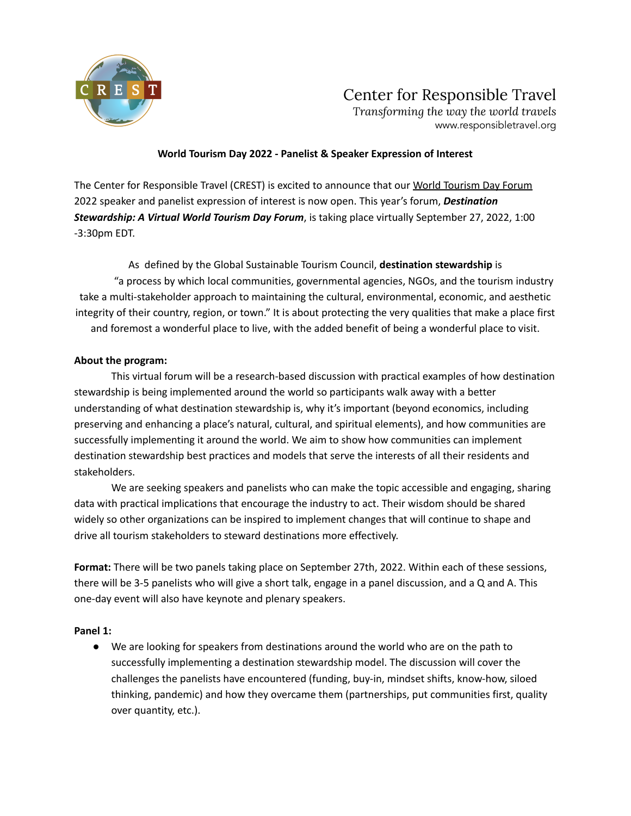

## Center for Responsible Travel

*Transforming the way the world travels* www.responsibletravel.org

### **World Tourism Day 2022 - Panelist & Speaker Expression of Interest**

The Center for Responsible Travel (CREST) is excited to announce that our World Tourism Day Forum 2022 speaker and panelist expression of interest is now open. This year's forum, *Destination Stewardship: A Virtual World Tourism Day Forum*, is taking place virtually September 27, 2022, 1:00 -3:30pm EDT.

As defined by the Global Sustainable Tourism Council, **destination stewardship** is "a process by which local communities, governmental agencies, NGOs, and the tourism industry take a multi-stakeholder approach to maintaining the cultural, environmental, economic, and aesthetic integrity of their country, region, or town." It is about protecting the very qualities that make a place first and foremost a wonderful place to live, with the added benefit of being a wonderful place to visit.

### **About the program:**

This virtual forum will be a research-based discussion with practical examples of how destination stewardship is being implemented around the world so participants walk away with a better understanding of what destination stewardship is, why it's important (beyond economics, including preserving and enhancing a place's natural, cultural, and spiritual elements), and how communities are successfully implementing it around the world. We aim to show how communities can implement destination stewardship best practices and models that serve the interests of all their residents and stakeholders.

We are seeking speakers and panelists who can make the topic accessible and engaging, sharing data with practical implications that encourage the industry to act. Their wisdom should be shared widely so other organizations can be inspired to implement changes that will continue to shape and drive all tourism stakeholders to steward destinations more effectively.

**Format:** There will be two panels taking place on September 27th, 2022. Within each of these sessions, there will be 3-5 panelists who will give a short talk, engage in a panel discussion, and a Q and A. This one-day event will also have keynote and plenary speakers.

#### **Panel 1:**

● We are looking for speakers from destinations around the world who are on the path to successfully implementing a destination stewardship model. The discussion will cover the challenges the panelists have encountered (funding, buy-in, mindset shifts, know-how, siloed thinking, pandemic) and how they overcame them (partnerships, put communities first, quality over quantity, etc.).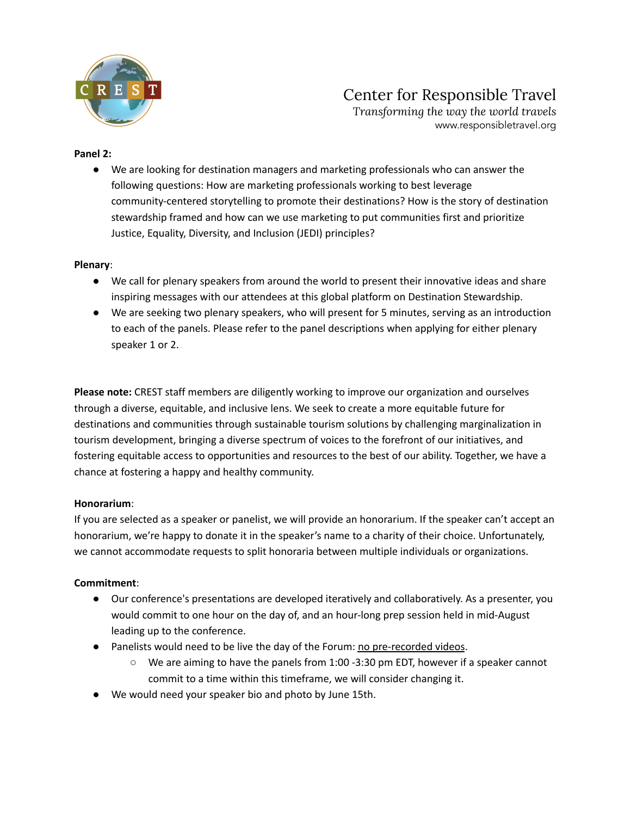

# Center for Responsible Travel

*Transforming the way the world travels* www.responsibletravel.org

#### **Panel 2:**

● We are looking for destination managers and marketing professionals who can answer the following questions: How are marketing professionals working to best leverage community-centered storytelling to promote their destinations? How is the story of destination stewardship framed and how can we use marketing to put communities first and prioritize Justice, Equality, Diversity, and Inclusion (JEDI) principles?

#### **Plenary**:

- We call for plenary speakers from around the world to present their innovative ideas and share inspiring messages with our attendees at this global platform on Destination Stewardship.
- We are seeking two plenary speakers, who will present for 5 minutes, serving as an introduction to each of the panels. Please refer to the panel descriptions when applying for either plenary speaker 1 or 2.

**Please note:** CREST staff members are diligently working to improve our organization and ourselves through a diverse, equitable, and inclusive lens. We seek to create a more equitable future for destinations and communities through sustainable tourism solutions by challenging marginalization in tourism development, bringing a diverse spectrum of voices to the forefront of our initiatives, and fostering equitable access to opportunities and resources to the best of our ability. Together, we have a chance at fostering a happy and healthy community.

#### **Honorarium**:

If you are selected as a speaker or panelist, we will provide an honorarium. If the speaker can't accept an honorarium, we're happy to donate it in the speaker's name to a charity of their choice. Unfortunately, we cannot accommodate requests to split honoraria between multiple individuals or organizations.

#### **Commitment**:

- Our conference's presentations are developed iteratively and collaboratively. As a presenter, you would commit to one hour on the day of, and an hour-long prep session held in mid-August leading up to the conference.
- Panelists would need to be live the day of the Forum: no pre-recorded videos.
	- $\circ$  We are aiming to have the panels from 1:00 -3:30 pm EDT, however if a speaker cannot commit to a time within this timeframe, we will consider changing it.
- We would need your speaker bio and photo by June 15th.